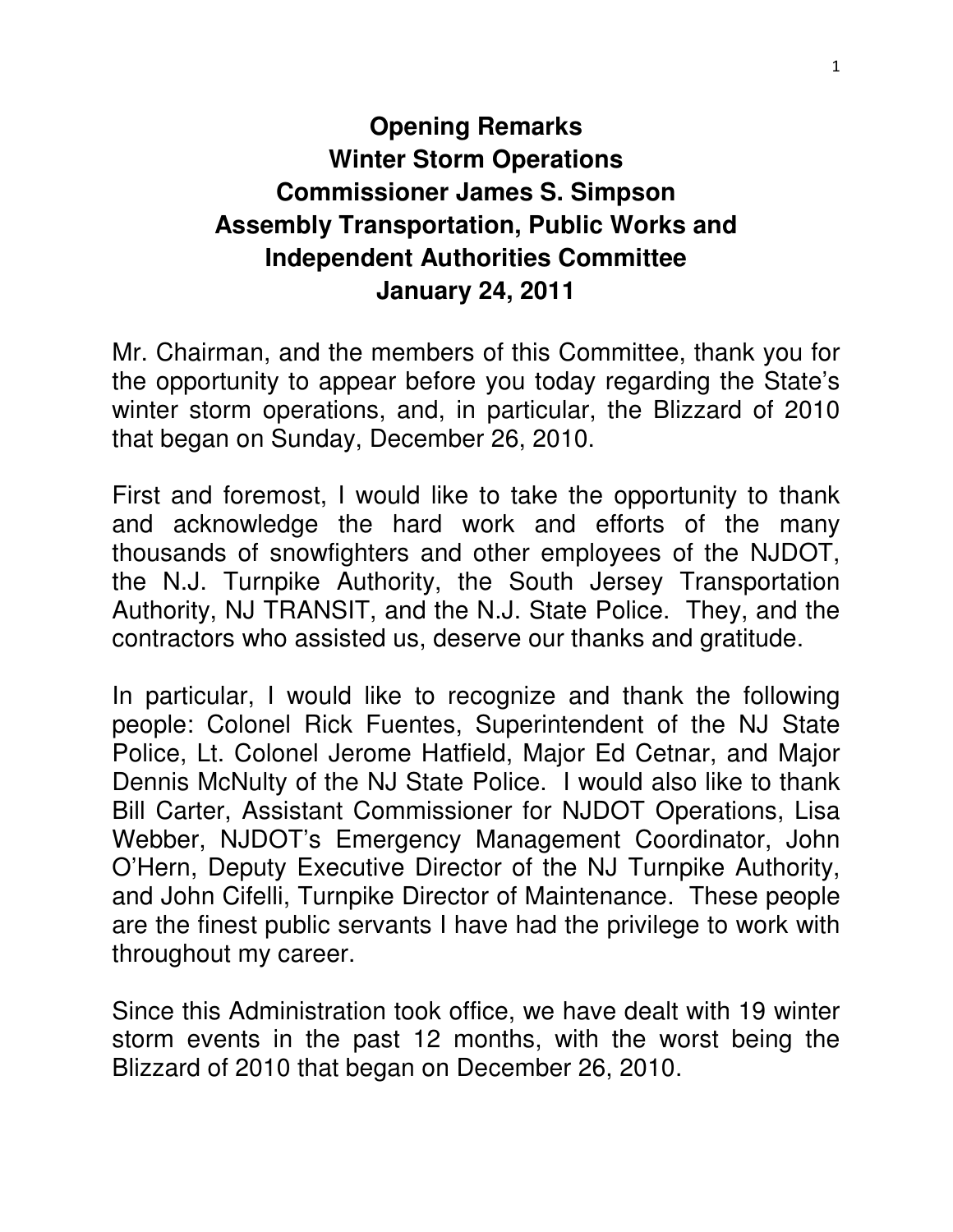### **Opening Remarks Winter Storm Operations Commissioner James S. Simpson Assembly Transportation, Public Works and Independent Authorities Committee January 24, 2011**

Mr. Chairman, and the members of this Committee, thank you for the opportunity to appear before you today regarding the State's winter storm operations, and, in particular, the Blizzard of 2010 that began on Sunday, December 26, 2010.

First and foremost, I would like to take the opportunity to thank and acknowledge the hard work and efforts of the many thousands of snowfighters and other employees of the NJDOT, the N.J. Turnpike Authority, the South Jersey Transportation Authority, NJ TRANSIT, and the N.J. State Police. They, and the contractors who assisted us, deserve our thanks and gratitude.

In particular, I would like to recognize and thank the following people: Colonel Rick Fuentes, Superintendent of the NJ State Police, Lt. Colonel Jerome Hatfield, Major Ed Cetnar, and Major Dennis McNulty of the NJ State Police. I would also like to thank Bill Carter, Assistant Commissioner for NJDOT Operations, Lisa Webber, NJDOT's Emergency Management Coordinator, John O'Hern, Deputy Executive Director of the NJ Turnpike Authority, and John Cifelli, Turnpike Director of Maintenance. These people are the finest public servants I have had the privilege to work with throughout my career.

Since this Administration took office, we have dealt with 19 winter storm events in the past 12 months, with the worst being the Blizzard of 2010 that began on December 26, 2010.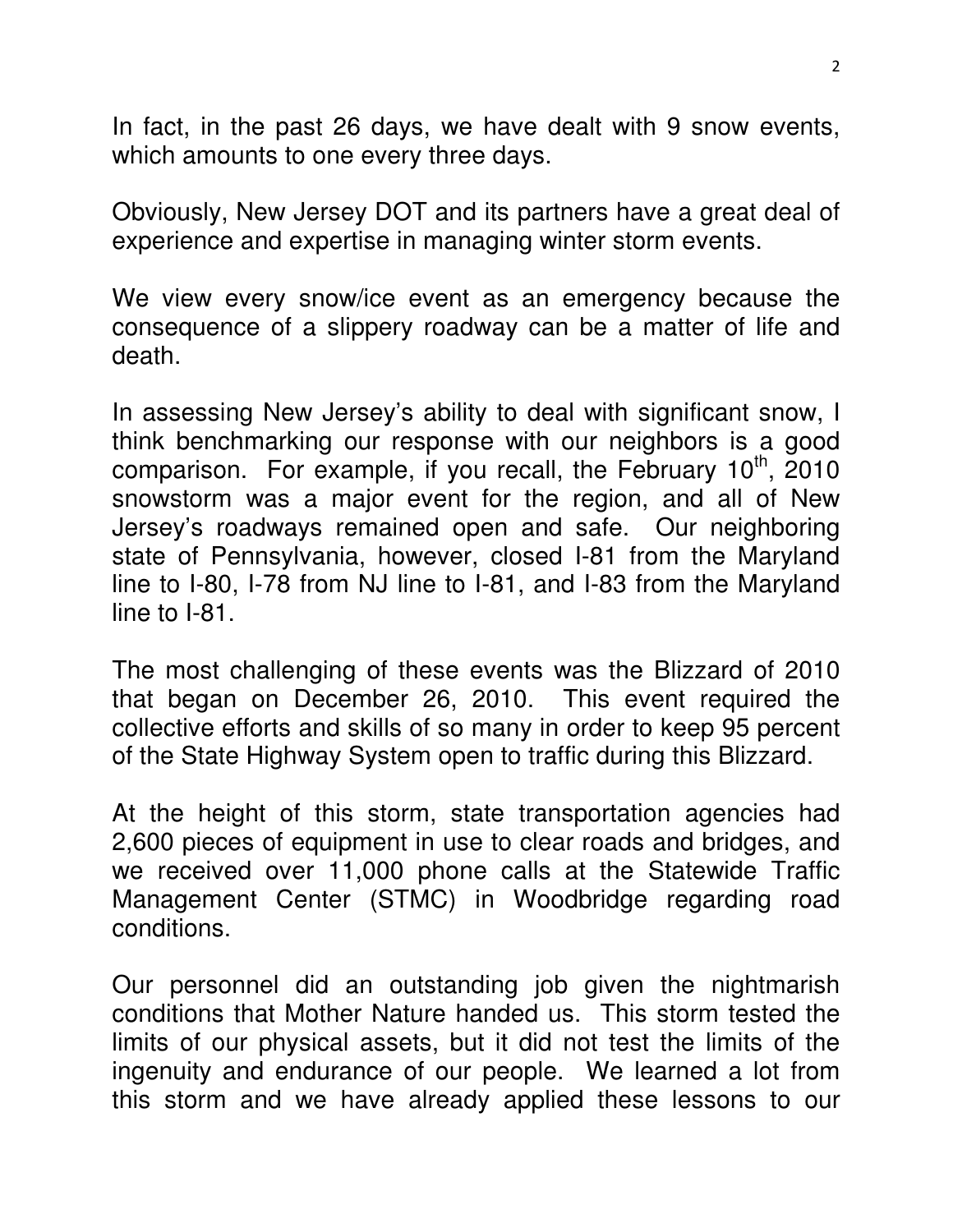In fact, in the past 26 days, we have dealt with 9 snow events, which amounts to one every three days.

Obviously, New Jersey DOT and its partners have a great deal of experience and expertise in managing winter storm events.

We view every snow/ice event as an emergency because the consequence of a slippery roadway can be a matter of life and death.

In assessing New Jersey's ability to deal with significant snow, I think benchmarking our response with our neighbors is a good comparison. For example, if you recall, the February  $10<sup>th</sup>$ , 2010 snowstorm was a major event for the region, and all of New Jersey's roadways remained open and safe. Our neighboring state of Pennsylvania, however, closed I-81 from the Maryland line to I-80, I-78 from NJ line to I-81, and I-83 from the Maryland line to I-81.

The most challenging of these events was the Blizzard of 2010 that began on December 26, 2010. This event required the collective efforts and skills of so many in order to keep 95 percent of the State Highway System open to traffic during this Blizzard.

At the height of this storm, state transportation agencies had 2,600 pieces of equipment in use to clear roads and bridges, and we received over 11,000 phone calls at the Statewide Traffic Management Center (STMC) in Woodbridge regarding road conditions.

Our personnel did an outstanding job given the nightmarish conditions that Mother Nature handed us. This storm tested the limits of our physical assets, but it did not test the limits of the ingenuity and endurance of our people. We learned a lot from this storm and we have already applied these lessons to our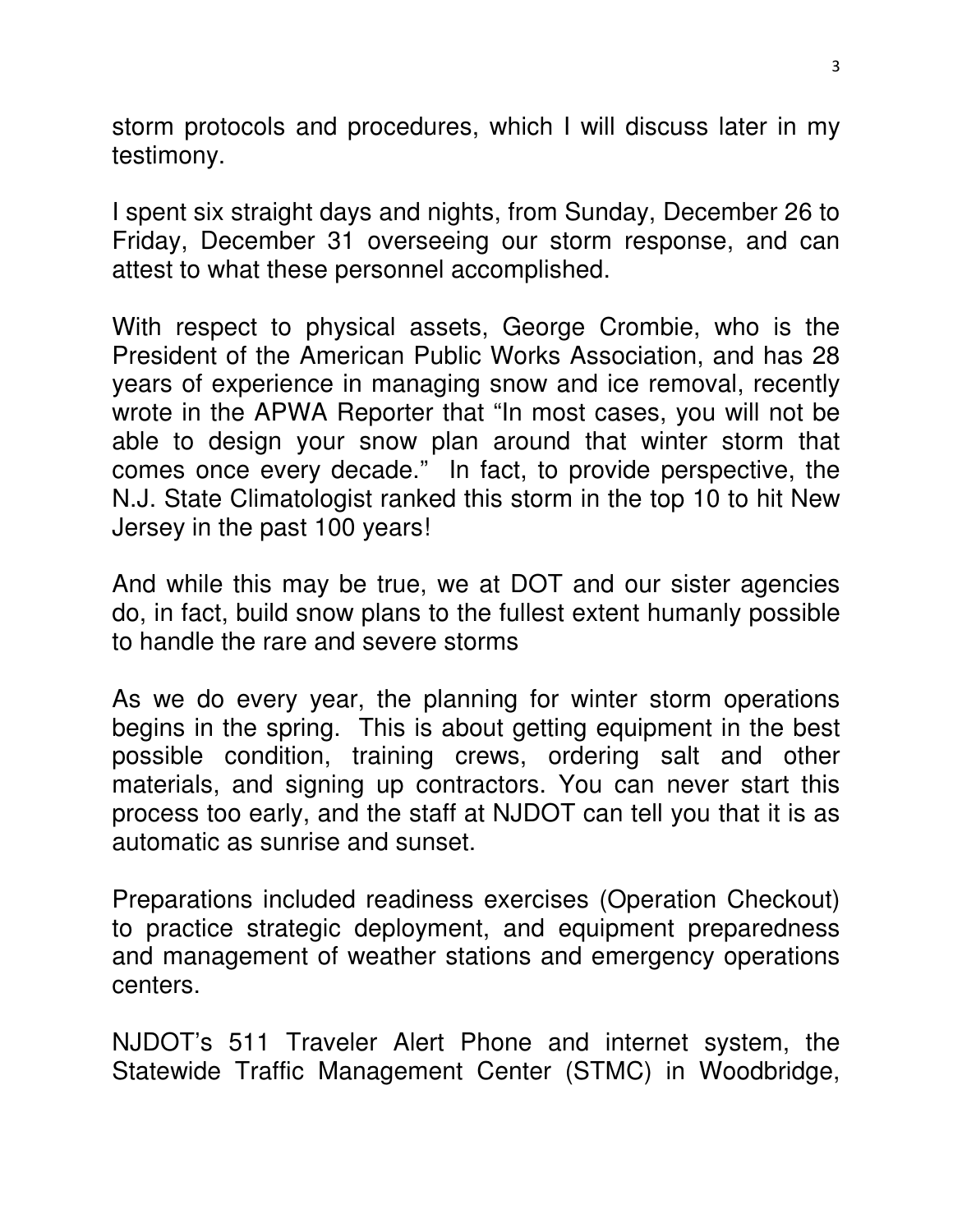storm protocols and procedures, which I will discuss later in my testimony.

I spent six straight days and nights, from Sunday, December 26 to Friday, December 31 overseeing our storm response, and can attest to what these personnel accomplished.

With respect to physical assets, George Crombie, who is the President of the American Public Works Association, and has 28 years of experience in managing snow and ice removal, recently wrote in the APWA Reporter that "In most cases, you will not be able to design your snow plan around that winter storm that comes once every decade." In fact, to provide perspective, the N.J. State Climatologist ranked this storm in the top 10 to hit New Jersey in the past 100 years!

And while this may be true, we at DOT and our sister agencies do, in fact, build snow plans to the fullest extent humanly possible to handle the rare and severe storms

As we do every year, the planning for winter storm operations begins in the spring. This is about getting equipment in the best possible condition, training crews, ordering salt and other materials, and signing up contractors. You can never start this process too early, and the staff at NJDOT can tell you that it is as automatic as sunrise and sunset.

Preparations included readiness exercises (Operation Checkout) to practice strategic deployment, and equipment preparedness and management of weather stations and emergency operations centers.

NJDOT's 511 Traveler Alert Phone and internet system, the Statewide Traffic Management Center (STMC) in Woodbridge,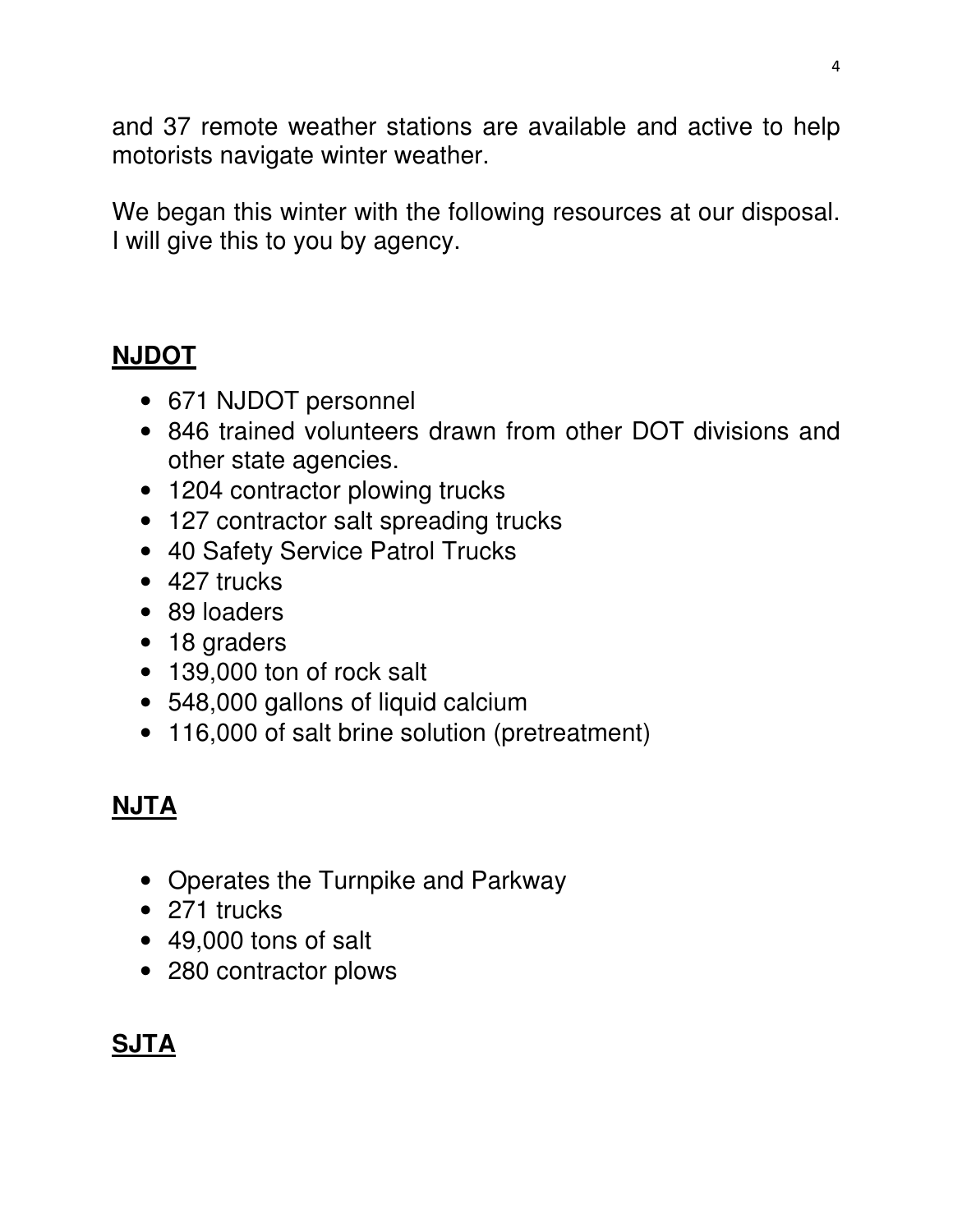and 37 remote weather stations are available and active to help motorists navigate winter weather.

We began this winter with the following resources at our disposal. I will give this to you by agency.

## **NJDOT**

- 671 NJDOT personnel
- 846 trained volunteers drawn from other DOT divisions and other state agencies.
- 1204 contractor plowing trucks
- 127 contractor salt spreading trucks
- 40 Safety Service Patrol Trucks
- 427 trucks
- 89 loaders
- 18 graders
- 139,000 ton of rock salt
- 548,000 gallons of liquid calcium
- 116,000 of salt brine solution (pretreatment)

# **NJTA**

- Operates the Turnpike and Parkway
- 271 trucks
- 49,000 tons of salt
- 280 contractor plows

# **SJTA**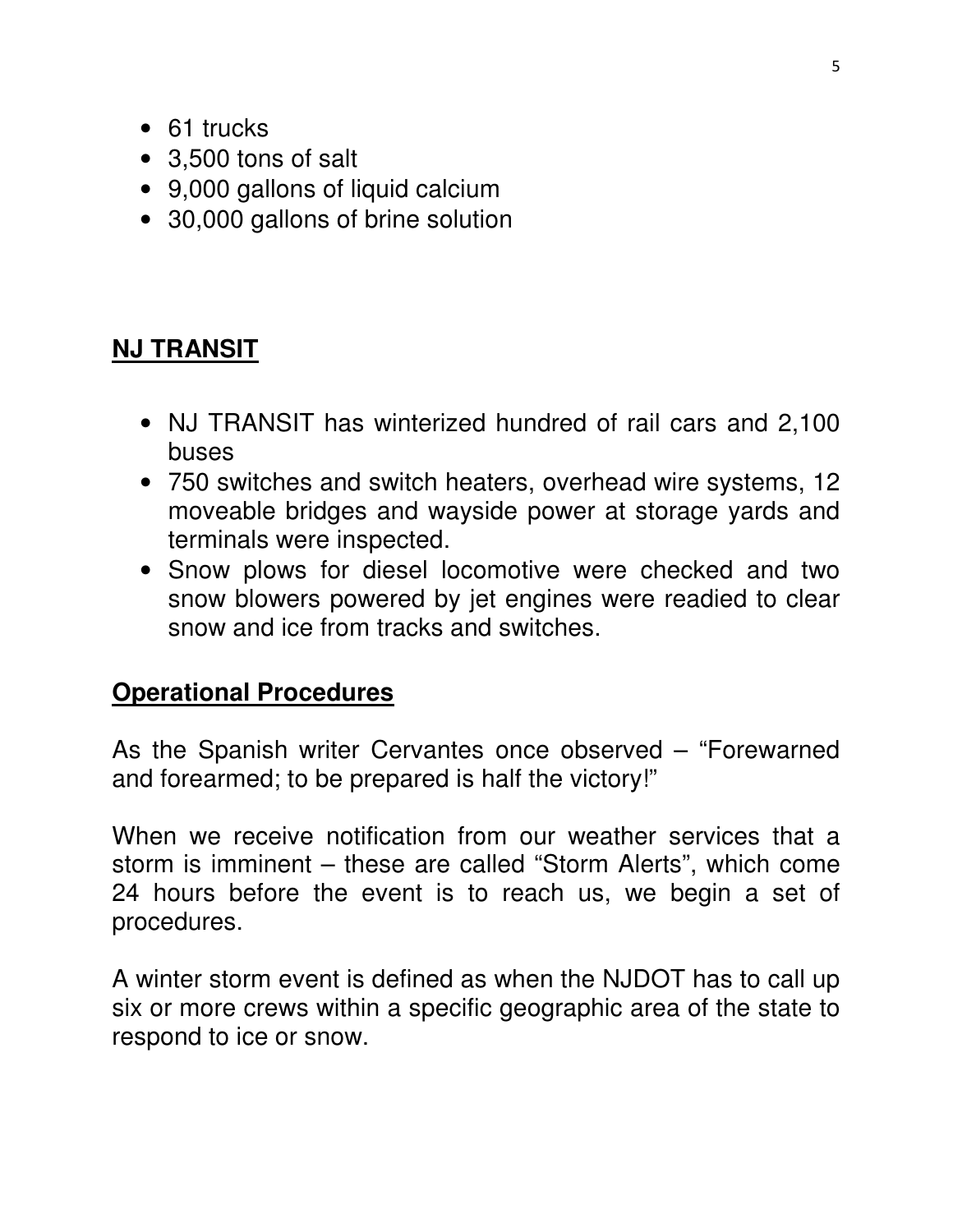- 61 trucks
- 3,500 tons of salt
- 9,000 gallons of liquid calcium
- 30,000 gallons of brine solution

#### **NJ TRANSIT**

- NJ TRANSIT has winterized hundred of rail cars and 2,100 buses
- 750 switches and switch heaters, overhead wire systems, 12 moveable bridges and wayside power at storage yards and terminals were inspected.
- Snow plows for diesel locomotive were checked and two snow blowers powered by jet engines were readied to clear snow and ice from tracks and switches.

#### **Operational Procedures**

As the Spanish writer Cervantes once observed – "Forewarned and forearmed; to be prepared is half the victory!"

When we receive notification from our weather services that a storm is imminent – these are called "Storm Alerts", which come 24 hours before the event is to reach us, we begin a set of procedures.

A winter storm event is defined as when the NJDOT has to call up six or more crews within a specific geographic area of the state to respond to ice or snow.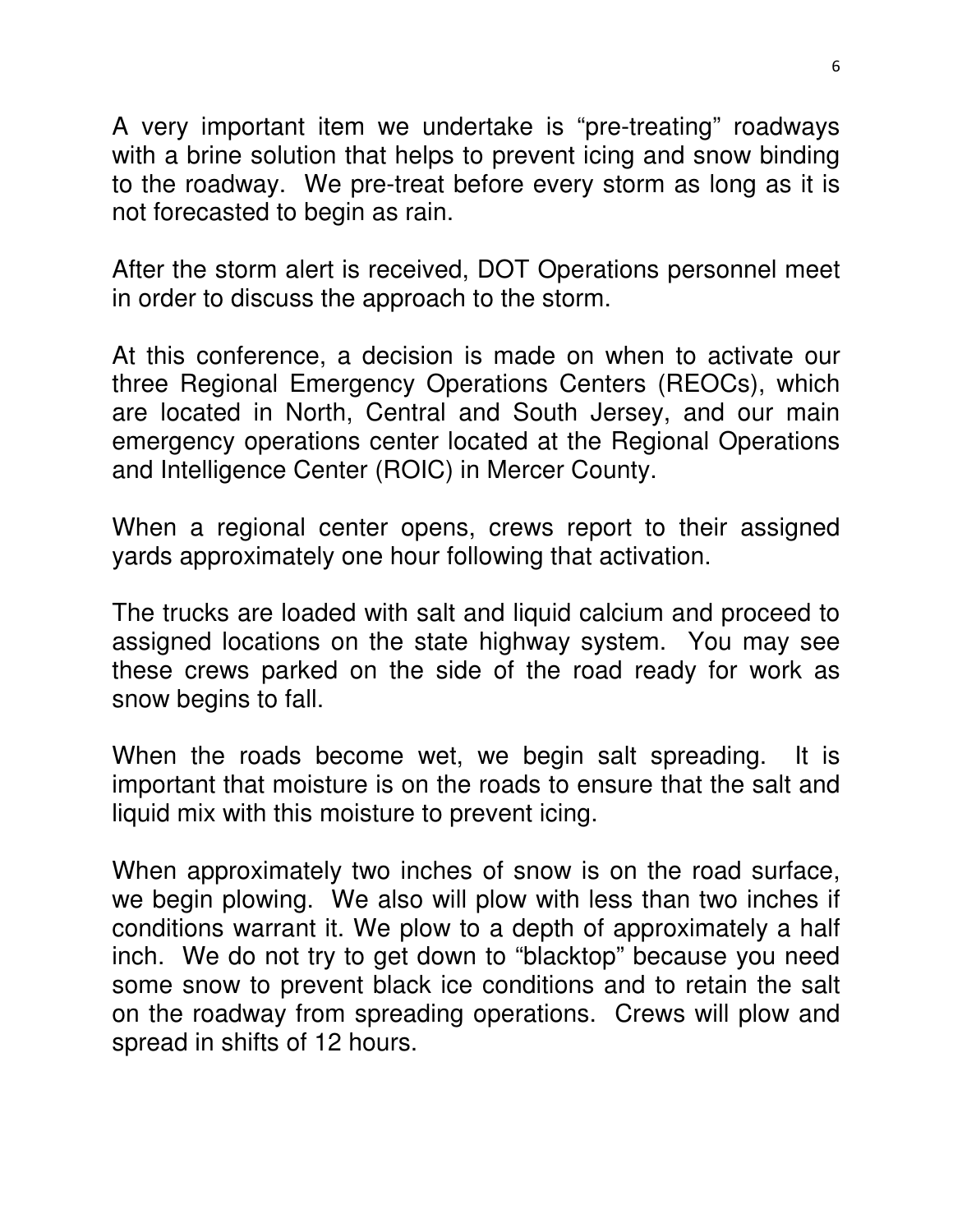A very important item we undertake is "pre-treating" roadways with a brine solution that helps to prevent icing and snow binding to the roadway. We pre-treat before every storm as long as it is not forecasted to begin as rain.

After the storm alert is received, DOT Operations personnel meet in order to discuss the approach to the storm.

At this conference, a decision is made on when to activate our three Regional Emergency Operations Centers (REOCs), which are located in North, Central and South Jersey, and our main emergency operations center located at the Regional Operations and Intelligence Center (ROIC) in Mercer County.

When a regional center opens, crews report to their assigned yards approximately one hour following that activation.

The trucks are loaded with salt and liquid calcium and proceed to assigned locations on the state highway system. You may see these crews parked on the side of the road ready for work as snow begins to fall.

When the roads become wet, we begin salt spreading. It is important that moisture is on the roads to ensure that the salt and liquid mix with this moisture to prevent icing.

When approximately two inches of snow is on the road surface, we begin plowing. We also will plow with less than two inches if conditions warrant it. We plow to a depth of approximately a half inch. We do not try to get down to "blacktop" because you need some snow to prevent black ice conditions and to retain the salt on the roadway from spreading operations. Crews will plow and spread in shifts of 12 hours.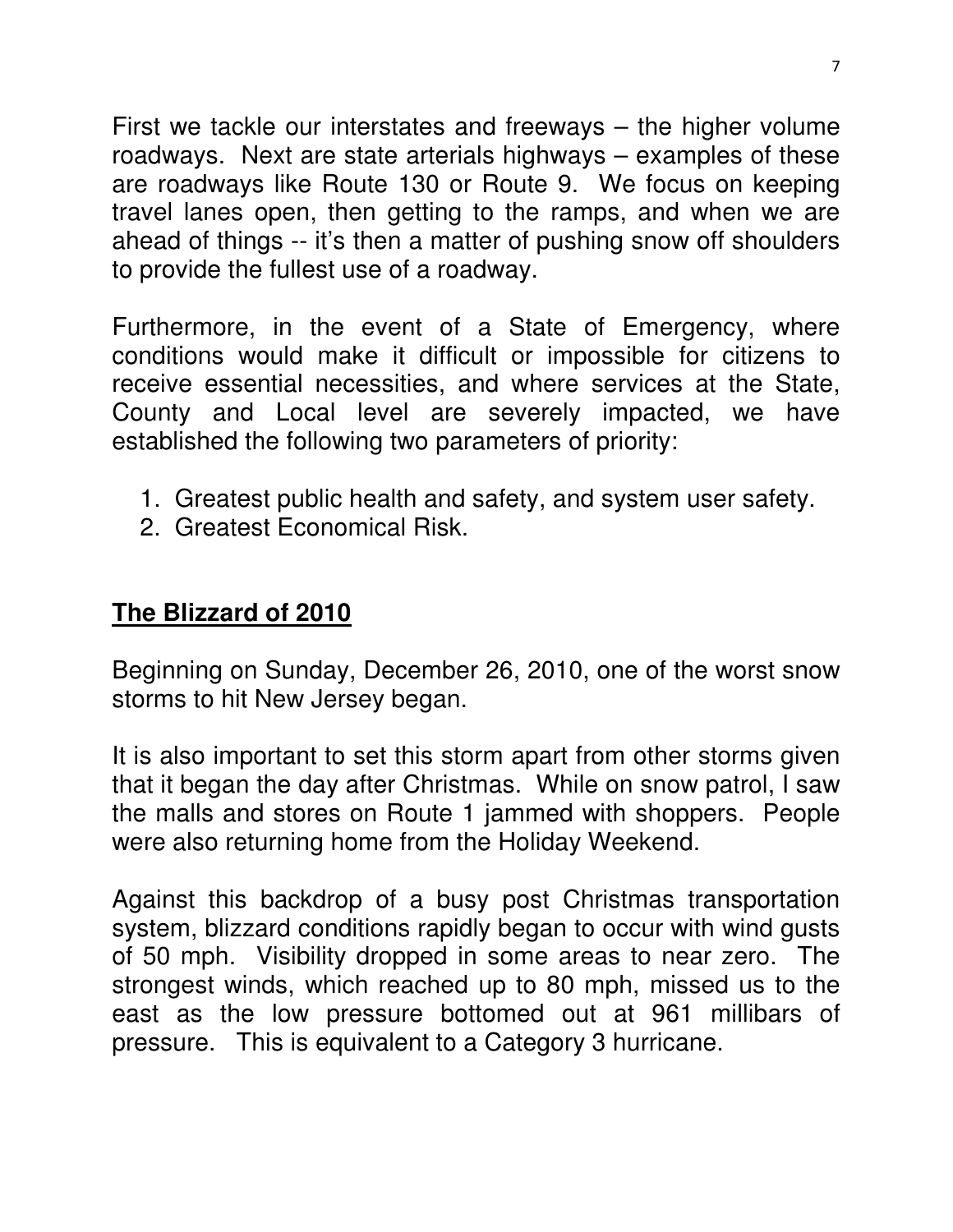First we tackle our interstates and freeways – the higher volume roadways. Next are state arterials highways – examples of these are roadways like Route 130 or Route 9. We focus on keeping travel lanes open, then getting to the ramps, and when we are ahead of things -- it's then a matter of pushing snow off shoulders to provide the fullest use of a roadway.

Furthermore, in the event of a State of Emergency, where conditions would make it difficult or impossible for citizens to receive essential necessities, and where services at the State, County and Local level are severely impacted, we have established the following two parameters of priority:

- 1. Greatest public health and safety, and system user safety.
- 2. Greatest Economical Risk.

#### **The Blizzard of 2010**

Beginning on Sunday, December 26, 2010, one of the worst snow storms to hit New Jersey began.

It is also important to set this storm apart from other storms given that it began the day after Christmas. While on snow patrol, I saw the malls and stores on Route 1 jammed with shoppers. People were also returning home from the Holiday Weekend.

Against this backdrop of a busy post Christmas transportation system, blizzard conditions rapidly began to occur with wind gusts of 50 mph. Visibility dropped in some areas to near zero. The strongest winds, which reached up to 80 mph, missed us to the east as the low pressure bottomed out at 961 millibars of pressure. This is equivalent to a Category 3 hurricane.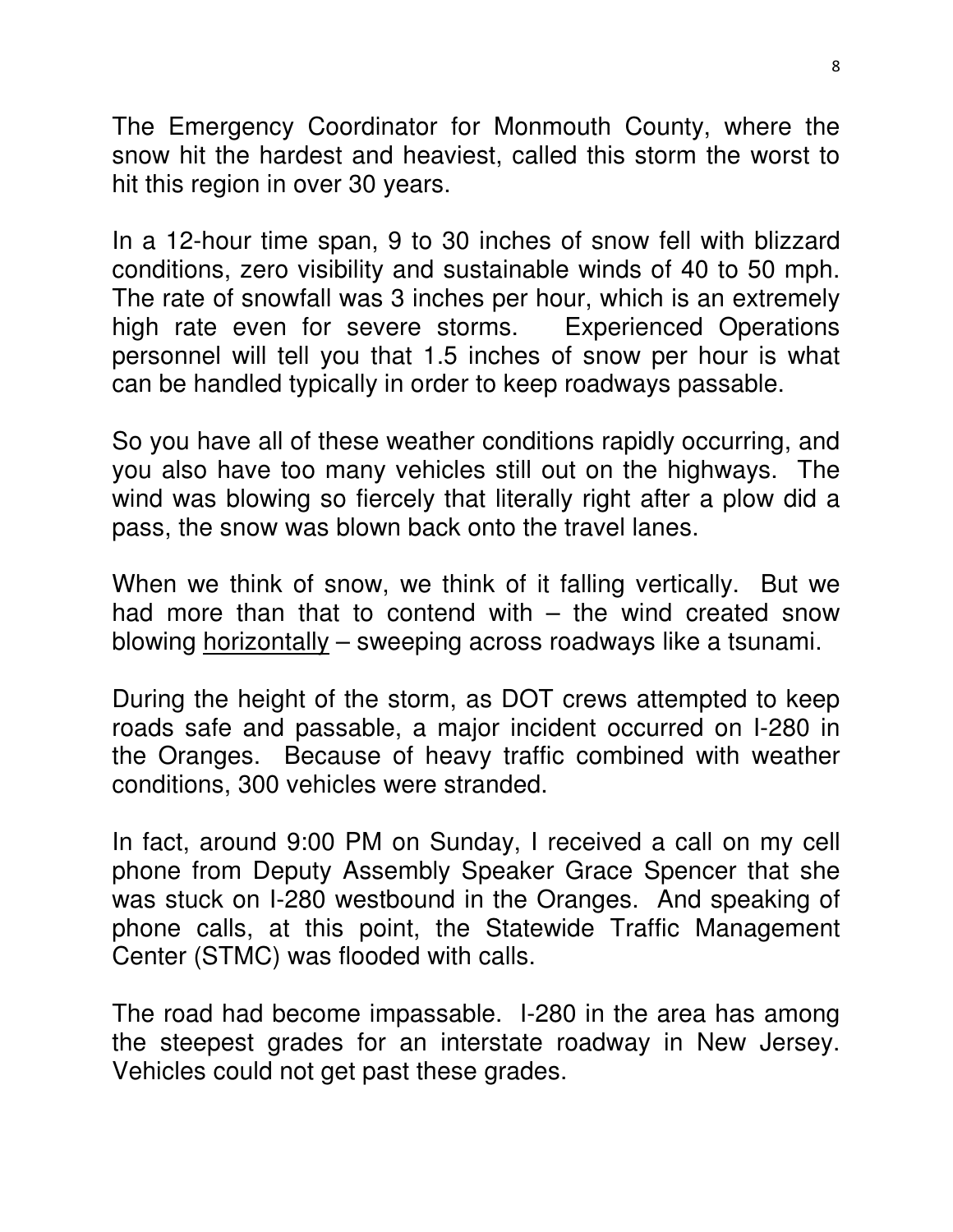The Emergency Coordinator for Monmouth County, where the snow hit the hardest and heaviest, called this storm the worst to hit this region in over 30 years.

In a 12-hour time span, 9 to 30 inches of snow fell with blizzard conditions, zero visibility and sustainable winds of 40 to 50 mph. The rate of snowfall was 3 inches per hour, which is an extremely high rate even for severe storms. Experienced Operations personnel will tell you that 1.5 inches of snow per hour is what can be handled typically in order to keep roadways passable.

So you have all of these weather conditions rapidly occurring, and you also have too many vehicles still out on the highways. The wind was blowing so fiercely that literally right after a plow did a pass, the snow was blown back onto the travel lanes.

When we think of snow, we think of it falling vertically. But we had more than that to contend with  $-$  the wind created snow blowing horizontally – sweeping across roadways like a tsunami.

During the height of the storm, as DOT crews attempted to keep roads safe and passable, a major incident occurred on I-280 in the Oranges. Because of heavy traffic combined with weather conditions, 300 vehicles were stranded.

In fact, around 9:00 PM on Sunday, I received a call on my cell phone from Deputy Assembly Speaker Grace Spencer that she was stuck on I-280 westbound in the Oranges. And speaking of phone calls, at this point, the Statewide Traffic Management Center (STMC) was flooded with calls.

The road had become impassable. I-280 in the area has among the steepest grades for an interstate roadway in New Jersey. Vehicles could not get past these grades.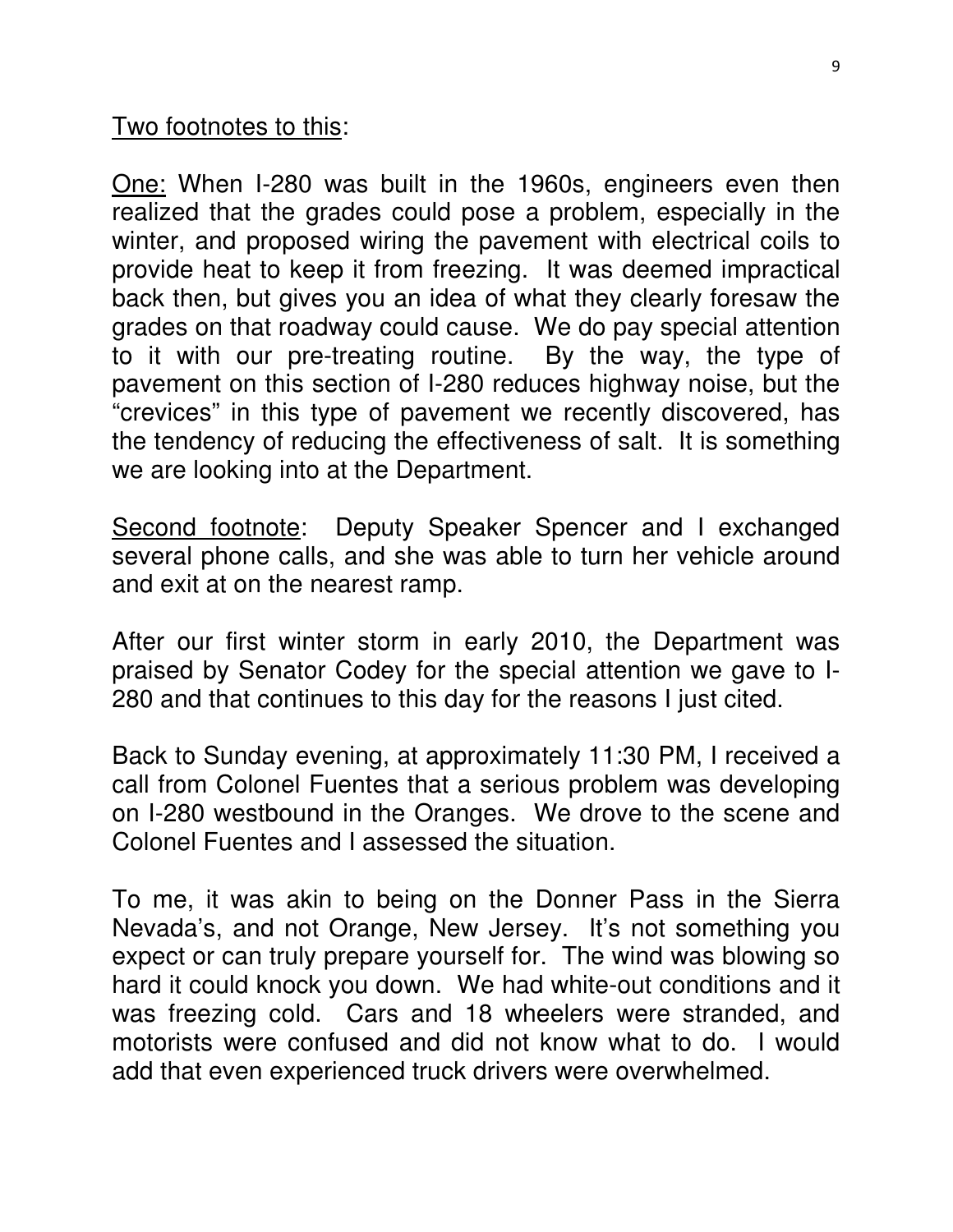Two footnotes to this:

One: When I-280 was built in the 1960s, engineers even then realized that the grades could pose a problem, especially in the winter, and proposed wiring the pavement with electrical coils to provide heat to keep it from freezing. It was deemed impractical back then, but gives you an idea of what they clearly foresaw the grades on that roadway could cause. We do pay special attention to it with our pre-treating routine. By the way, the type of pavement on this section of I-280 reduces highway noise, but the "crevices" in this type of pavement we recently discovered, has the tendency of reducing the effectiveness of salt. It is something we are looking into at the Department.

Second footnote: Deputy Speaker Spencer and I exchanged several phone calls, and she was able to turn her vehicle around and exit at on the nearest ramp.

After our first winter storm in early 2010, the Department was praised by Senator Codey for the special attention we gave to I-280 and that continues to this day for the reasons I just cited.

Back to Sunday evening, at approximately 11:30 PM, I received a call from Colonel Fuentes that a serious problem was developing on I-280 westbound in the Oranges. We drove to the scene and Colonel Fuentes and I assessed the situation.

To me, it was akin to being on the Donner Pass in the Sierra Nevada's, and not Orange, New Jersey. It's not something you expect or can truly prepare yourself for. The wind was blowing so hard it could knock you down. We had white-out conditions and it was freezing cold. Cars and 18 wheelers were stranded, and motorists were confused and did not know what to do. I would add that even experienced truck drivers were overwhelmed.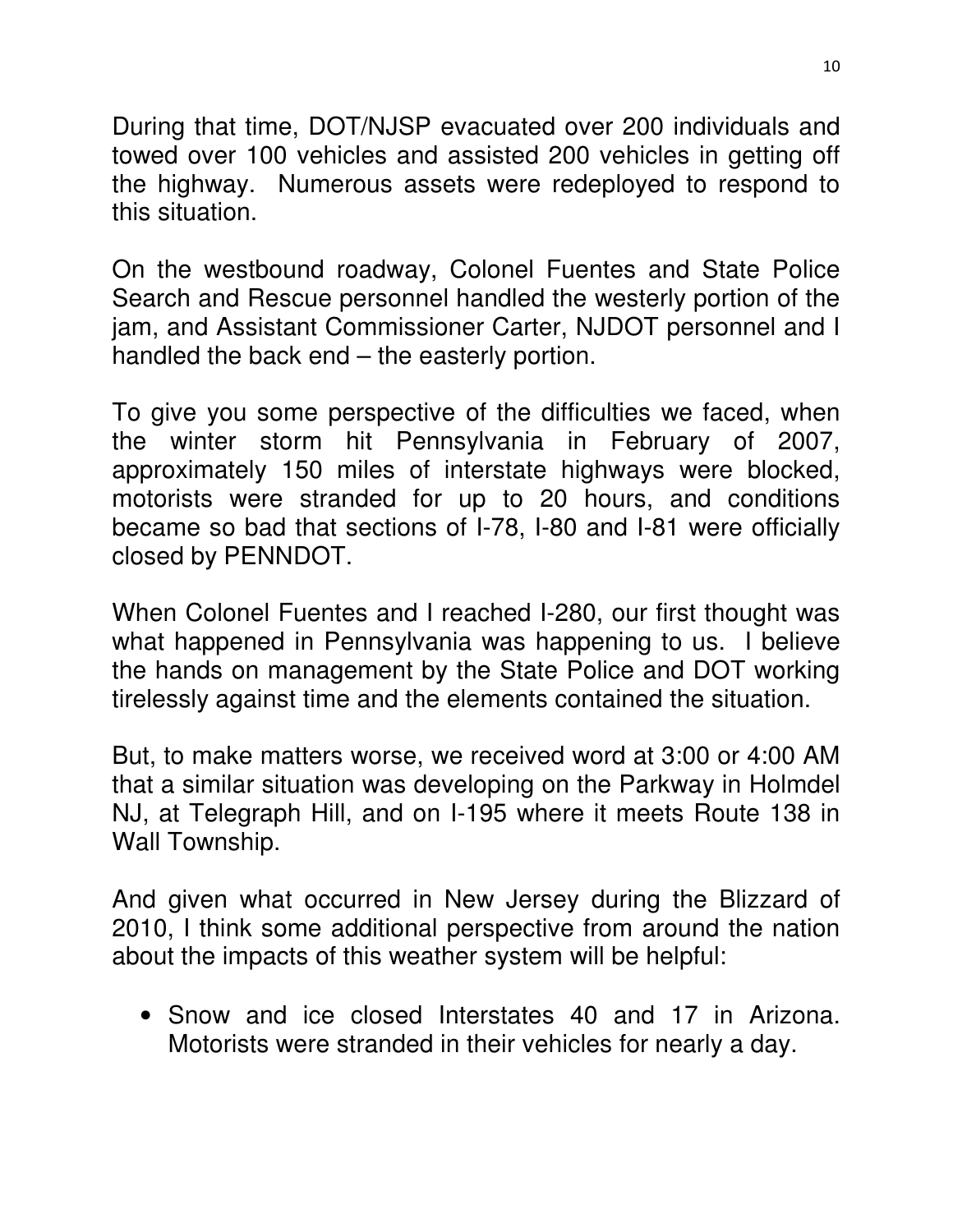During that time, DOT/NJSP evacuated over 200 individuals and towed over 100 vehicles and assisted 200 vehicles in getting off the highway. Numerous assets were redeployed to respond to this situation.

On the westbound roadway, Colonel Fuentes and State Police Search and Rescue personnel handled the westerly portion of the jam, and Assistant Commissioner Carter, NJDOT personnel and I handled the back end – the easterly portion.

To give you some perspective of the difficulties we faced, when the winter storm hit Pennsylvania in February of 2007, approximately 150 miles of interstate highways were blocked, motorists were stranded for up to 20 hours, and conditions became so bad that sections of I-78, I-80 and I-81 were officially closed by PENNDOT.

When Colonel Fuentes and I reached I-280, our first thought was what happened in Pennsylvania was happening to us. I believe the hands on management by the State Police and DOT working tirelessly against time and the elements contained the situation.

But, to make matters worse, we received word at 3:00 or 4:00 AM that a similar situation was developing on the Parkway in Holmdel NJ, at Telegraph Hill, and on I-195 where it meets Route 138 in Wall Township.

And given what occurred in New Jersey during the Blizzard of 2010, I think some additional perspective from around the nation about the impacts of this weather system will be helpful:

• Snow and ice closed Interstates 40 and 17 in Arizona. Motorists were stranded in their vehicles for nearly a day.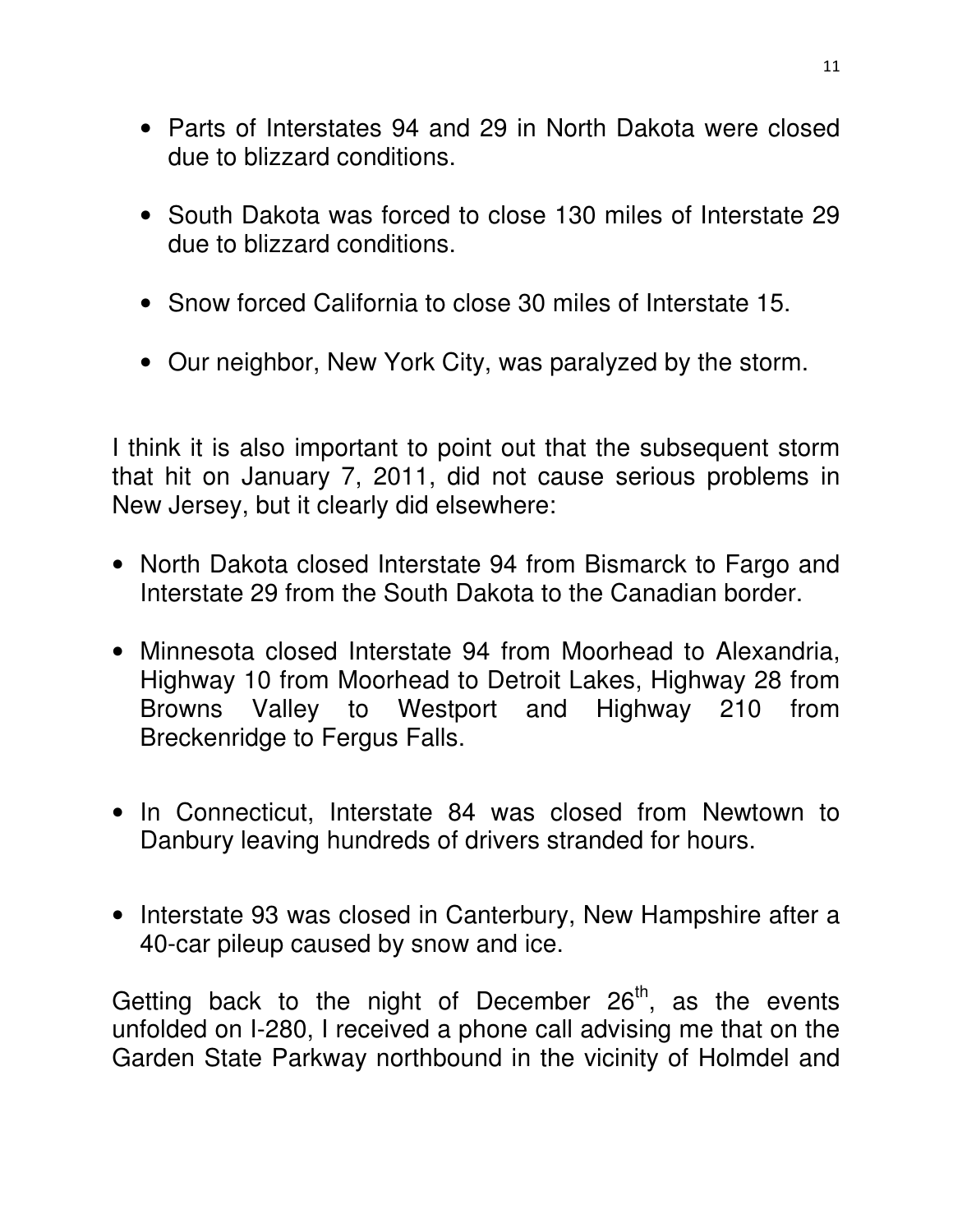- Parts of Interstates 94 and 29 in North Dakota were closed due to blizzard conditions.
- South Dakota was forced to close 130 miles of Interstate 29 due to blizzard conditions.
- Snow forced California to close 30 miles of Interstate 15.
- Our neighbor, New York City, was paralyzed by the storm.

I think it is also important to point out that the subsequent storm that hit on January 7, 2011, did not cause serious problems in New Jersey, but it clearly did elsewhere:

- North Dakota closed Interstate 94 from Bismarck to Fargo and Interstate 29 from the South Dakota to the Canadian border.
- Minnesota closed Interstate 94 from Moorhead to Alexandria, Highway 10 from Moorhead to Detroit Lakes, Highway 28 from Browns Valley to Westport and Highway 210 from Breckenridge to Fergus Falls.
- In Connecticut, Interstate 84 was closed from Newtown to Danbury leaving hundreds of drivers stranded for hours.
- Interstate 93 was closed in Canterbury, New Hampshire after a 40-car pileup caused by snow and ice.

Getting back to the night of December  $26<sup>th</sup>$ , as the events unfolded on I-280, I received a phone call advising me that on the Garden State Parkway northbound in the vicinity of Holmdel and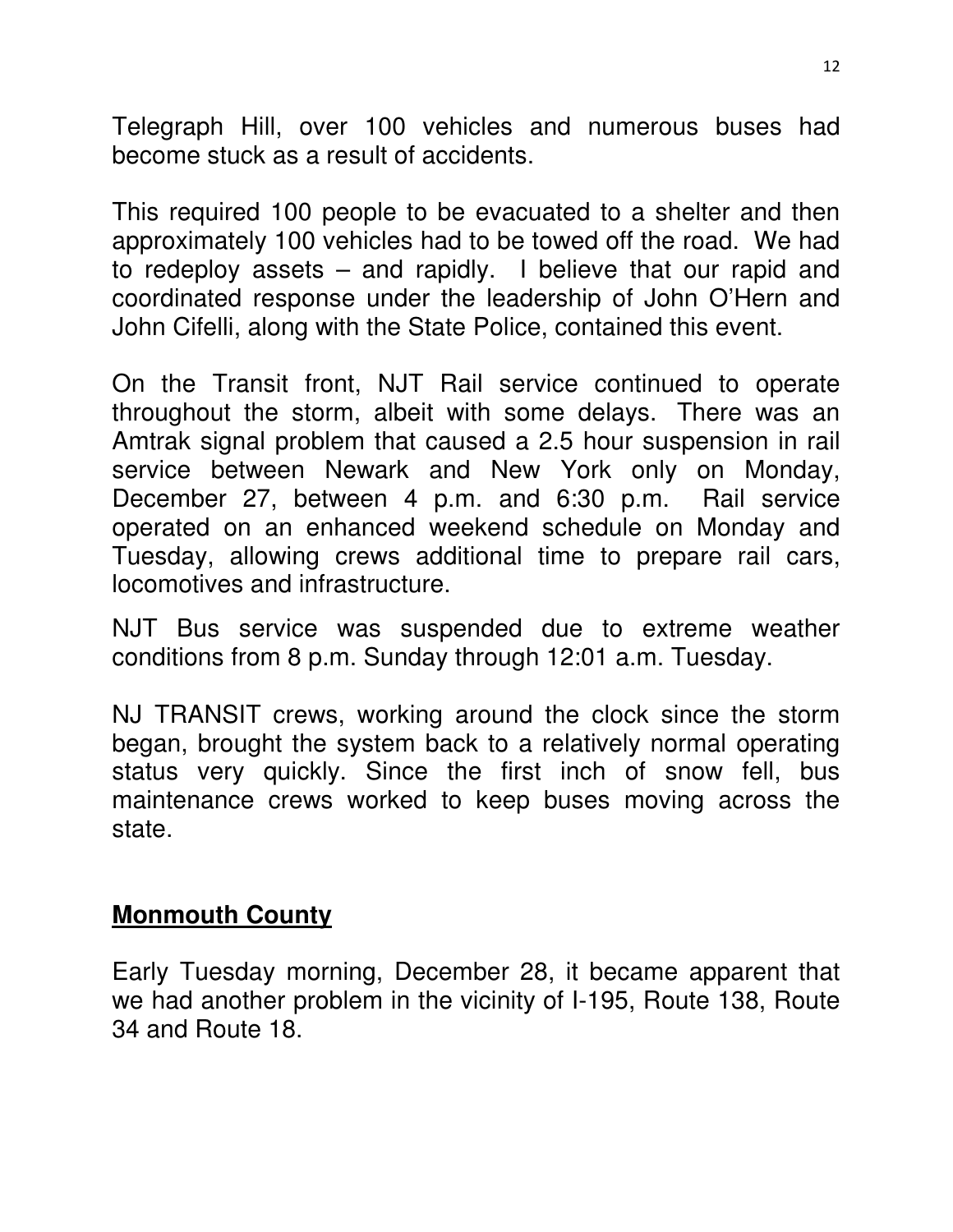Telegraph Hill, over 100 vehicles and numerous buses had become stuck as a result of accidents.

This required 100 people to be evacuated to a shelter and then approximately 100 vehicles had to be towed off the road. We had to redeploy assets – and rapidly. I believe that our rapid and coordinated response under the leadership of John O'Hern and John Cifelli, along with the State Police, contained this event.

On the Transit front, NJT Rail service continued to operate throughout the storm, albeit with some delays. There was an Amtrak signal problem that caused a 2.5 hour suspension in rail service between Newark and New York only on Monday, December 27, between 4 p.m. and 6:30 p.m. Rail service operated on an enhanced weekend schedule on Monday and Tuesday, allowing crews additional time to prepare rail cars, locomotives and infrastructure.

NJT Bus service was suspended due to extreme weather conditions from 8 p.m. Sunday through 12:01 a.m. Tuesday.

NJ TRANSIT crews, working around the clock since the storm began, brought the system back to a relatively normal operating status very quickly. Since the first inch of snow fell, bus maintenance crews worked to keep buses moving across the state.

#### **Monmouth County**

Early Tuesday morning, December 28, it became apparent that we had another problem in the vicinity of I-195, Route 138, Route 34 and Route 18.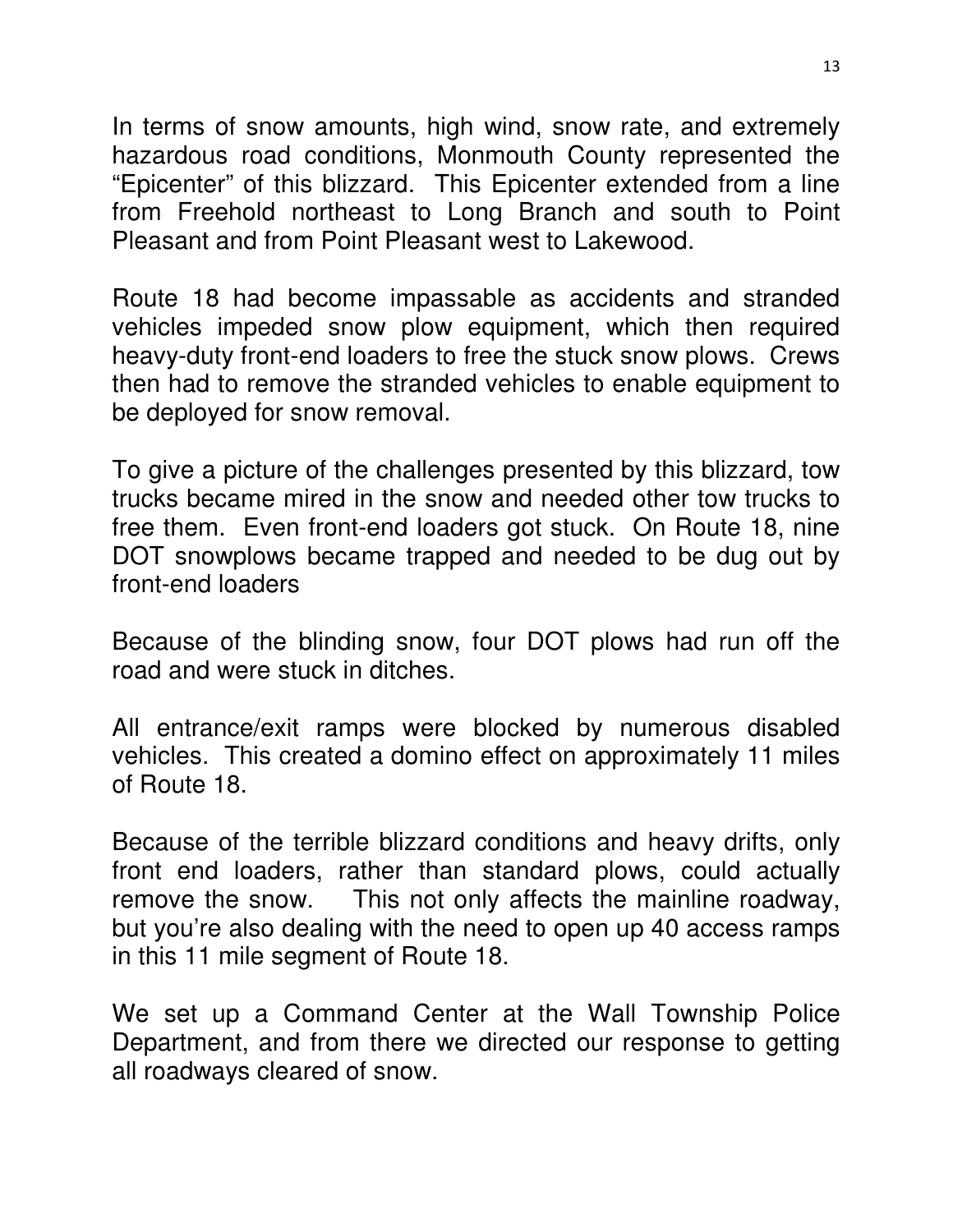In terms of snow amounts, high wind, snow rate, and extremely hazardous road conditions, Monmouth County represented the "Epicenter" of this blizzard. This Epicenter extended from a line from Freehold northeast to Long Branch and south to Point Pleasant and from Point Pleasant west to Lakewood.

Route 18 had become impassable as accidents and stranded vehicles impeded snow plow equipment, which then required heavy-duty front-end loaders to free the stuck snow plows. Crews then had to remove the stranded vehicles to enable equipment to be deployed for snow removal.

To give a picture of the challenges presented by this blizzard, tow trucks became mired in the snow and needed other tow trucks to free them. Even front-end loaders got stuck. On Route 18, nine DOT snowplows became trapped and needed to be dug out by front-end loaders

Because of the blinding snow, four DOT plows had run off the road and were stuck in ditches.

All entrance/exit ramps were blocked by numerous disabled vehicles. This created a domino effect on approximately 11 miles of Route 18.

Because of the terrible blizzard conditions and heavy drifts, only front end loaders, rather than standard plows, could actually remove the snow. This not only affects the mainline roadway, but you're also dealing with the need to open up 40 access ramps in this 11 mile segment of Route 18.

We set up a Command Center at the Wall Township Police Department, and from there we directed our response to getting all roadways cleared of snow.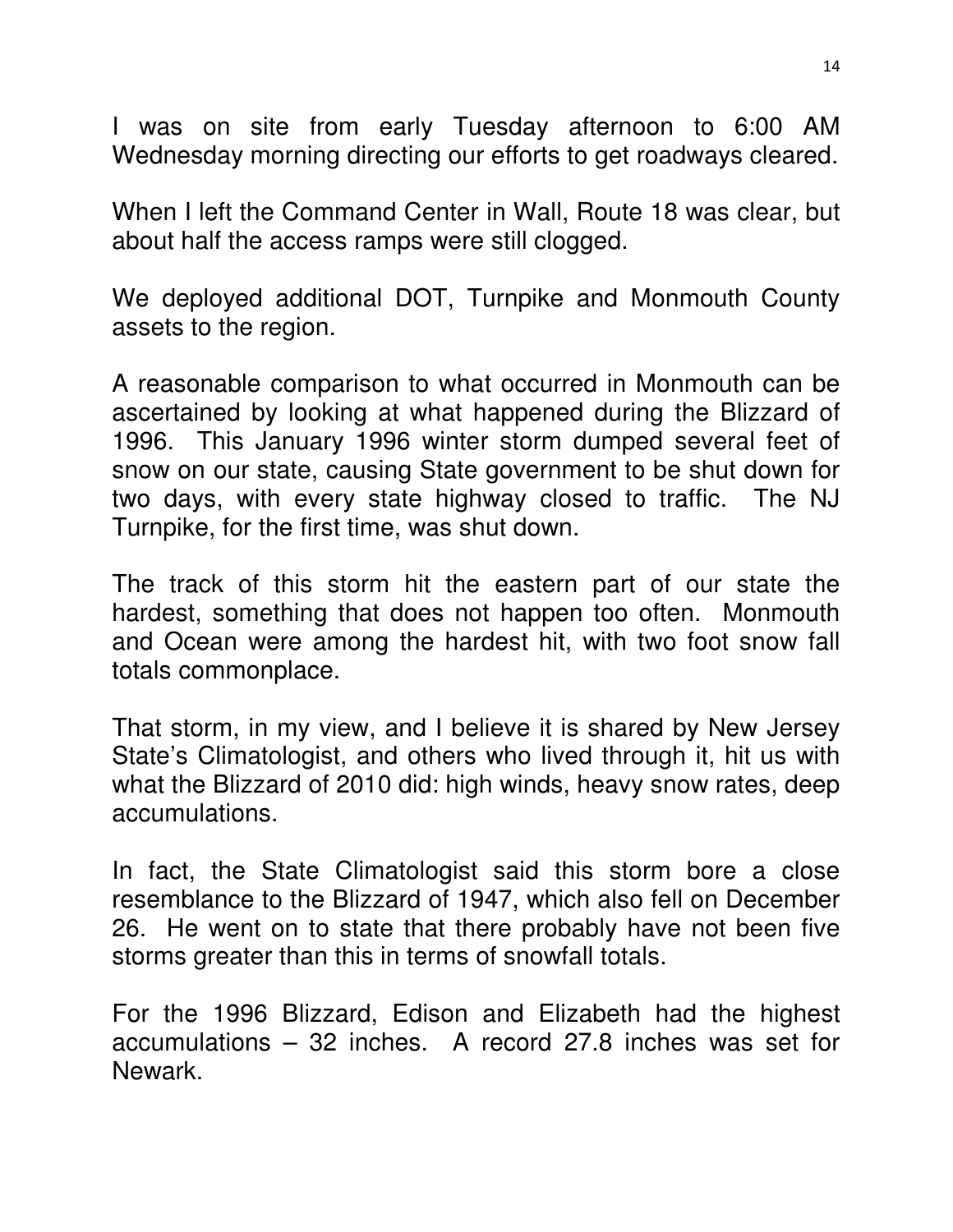I was on site from early Tuesday afternoon to 6:00 AM Wednesday morning directing our efforts to get roadways cleared.

When I left the Command Center in Wall, Route 18 was clear, but about half the access ramps were still clogged.

We deployed additional DOT, Turnpike and Monmouth County assets to the region.

A reasonable comparison to what occurred in Monmouth can be ascertained by looking at what happened during the Blizzard of 1996. This January 1996 winter storm dumped several feet of snow on our state, causing State government to be shut down for two days, with every state highway closed to traffic. The NJ Turnpike, for the first time, was shut down.

The track of this storm hit the eastern part of our state the hardest, something that does not happen too often. Monmouth and Ocean were among the hardest hit, with two foot snow fall totals commonplace.

That storm, in my view, and I believe it is shared by New Jersey State's Climatologist, and others who lived through it, hit us with what the Blizzard of 2010 did: high winds, heavy snow rates, deep accumulations.

In fact, the State Climatologist said this storm bore a close resemblance to the Blizzard of 1947, which also fell on December 26. He went on to state that there probably have not been five storms greater than this in terms of snowfall totals.

For the 1996 Blizzard, Edison and Elizabeth had the highest accumulations – 32 inches. A record 27.8 inches was set for Newark.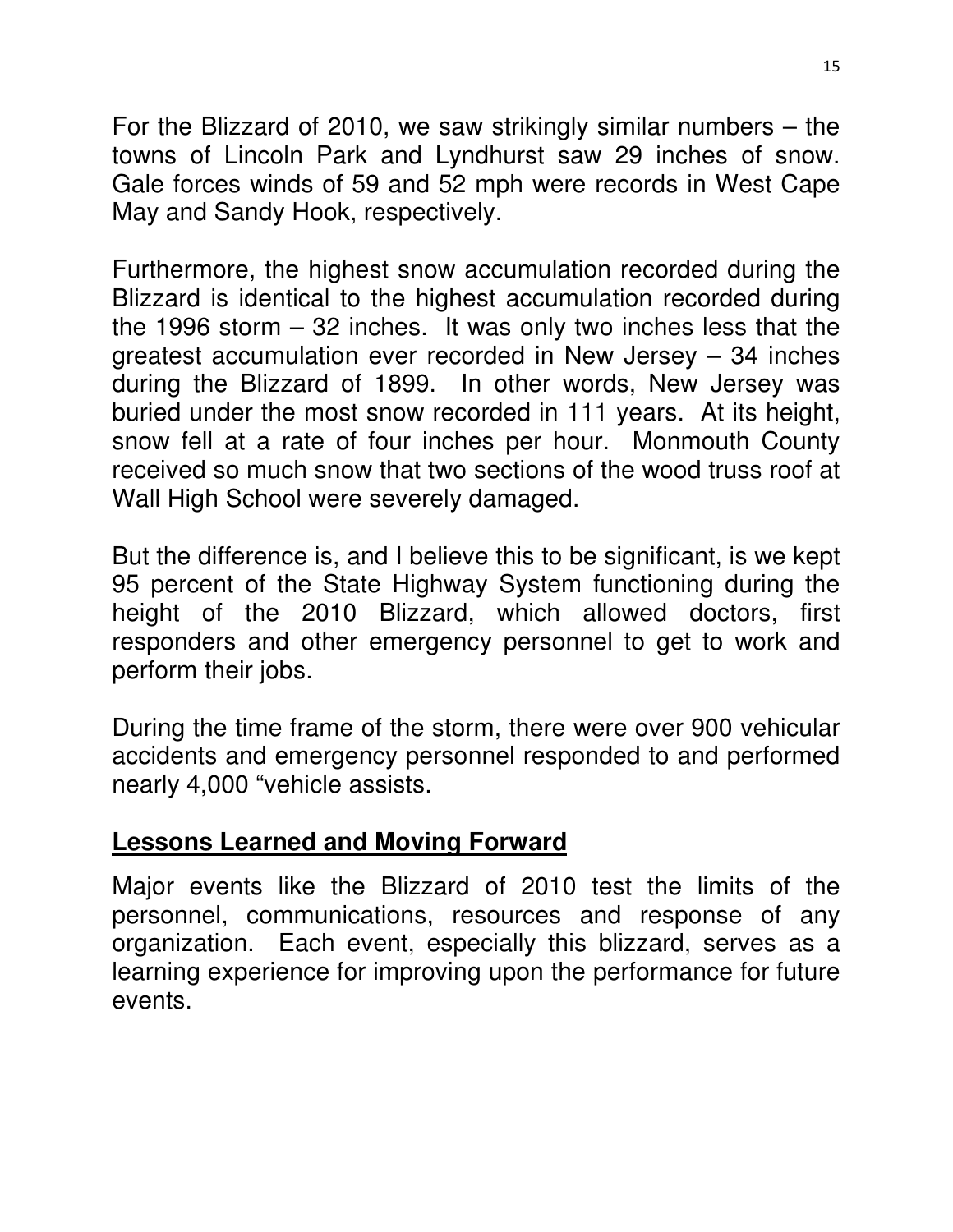For the Blizzard of 2010, we saw strikingly similar numbers – the towns of Lincoln Park and Lyndhurst saw 29 inches of snow. Gale forces winds of 59 and 52 mph were records in West Cape May and Sandy Hook, respectively.

Furthermore, the highest snow accumulation recorded during the Blizzard is identical to the highest accumulation recorded during the 1996 storm – 32 inches. It was only two inches less that the greatest accumulation ever recorded in New Jersey – 34 inches during the Blizzard of 1899. In other words, New Jersey was buried under the most snow recorded in 111 years. At its height, snow fell at a rate of four inches per hour. Monmouth County received so much snow that two sections of the wood truss roof at Wall High School were severely damaged.

But the difference is, and I believe this to be significant, is we kept 95 percent of the State Highway System functioning during the height of the 2010 Blizzard, which allowed doctors, first responders and other emergency personnel to get to work and perform their jobs.

During the time frame of the storm, there were over 900 vehicular accidents and emergency personnel responded to and performed nearly 4,000 "vehicle assists.

### **Lessons Learned and Moving Forward**

Major events like the Blizzard of 2010 test the limits of the personnel, communications, resources and response of any organization. Each event, especially this blizzard, serves as a learning experience for improving upon the performance for future events.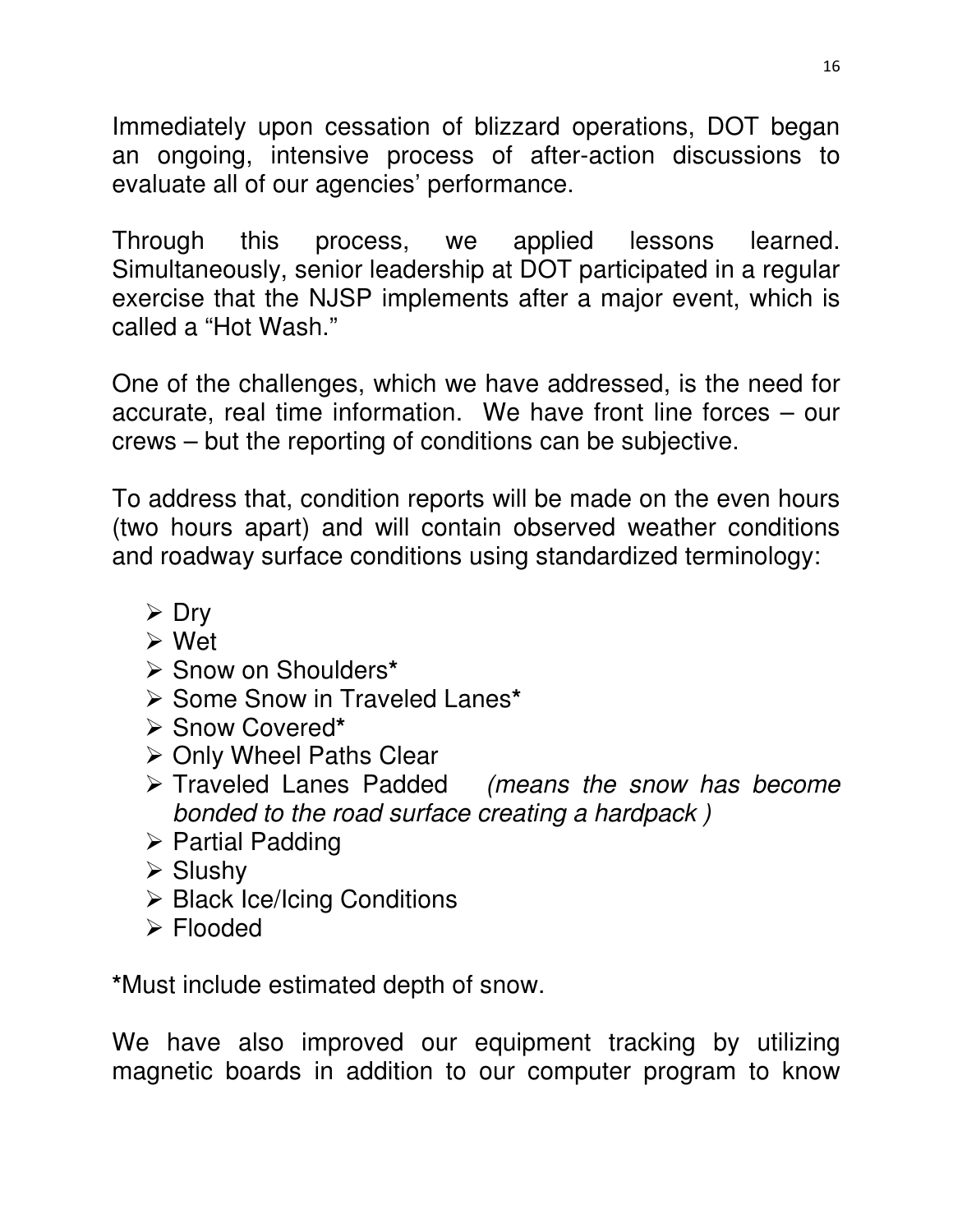Immediately upon cessation of blizzard operations, DOT began an ongoing, intensive process of after-action discussions to evaluate all of our agencies' performance.

Through this process, we applied lessons learned. Simultaneously, senior leadership at DOT participated in a regular exercise that the NJSP implements after a major event, which is called a "Hot Wash."

One of the challenges, which we have addressed, is the need for accurate, real time information. We have front line forces – our crews – but the reporting of conditions can be subjective.

To address that, condition reports will be made on the even hours (two hours apart) and will contain observed weather conditions and roadway surface conditions using standardized terminology:

- $\triangleright$  Dry
- Wet
- Snow on Shoulders**\***
- **≻ Some Snow in Traveled Lanes\***
- Snow Covered**\***
- **≻ Only Wheel Paths Clear**
- $\triangleright$  Traveled Lanes Padded (means the snow has become bonded to the road surface creating a hardpack )
- $\triangleright$  Partial Padding
- $\triangleright$  Slushy
- $\triangleright$  Black Ice/Icing Conditions
- Flooded

**\***Must include estimated depth of snow.

We have also improved our equipment tracking by utilizing magnetic boards in addition to our computer program to know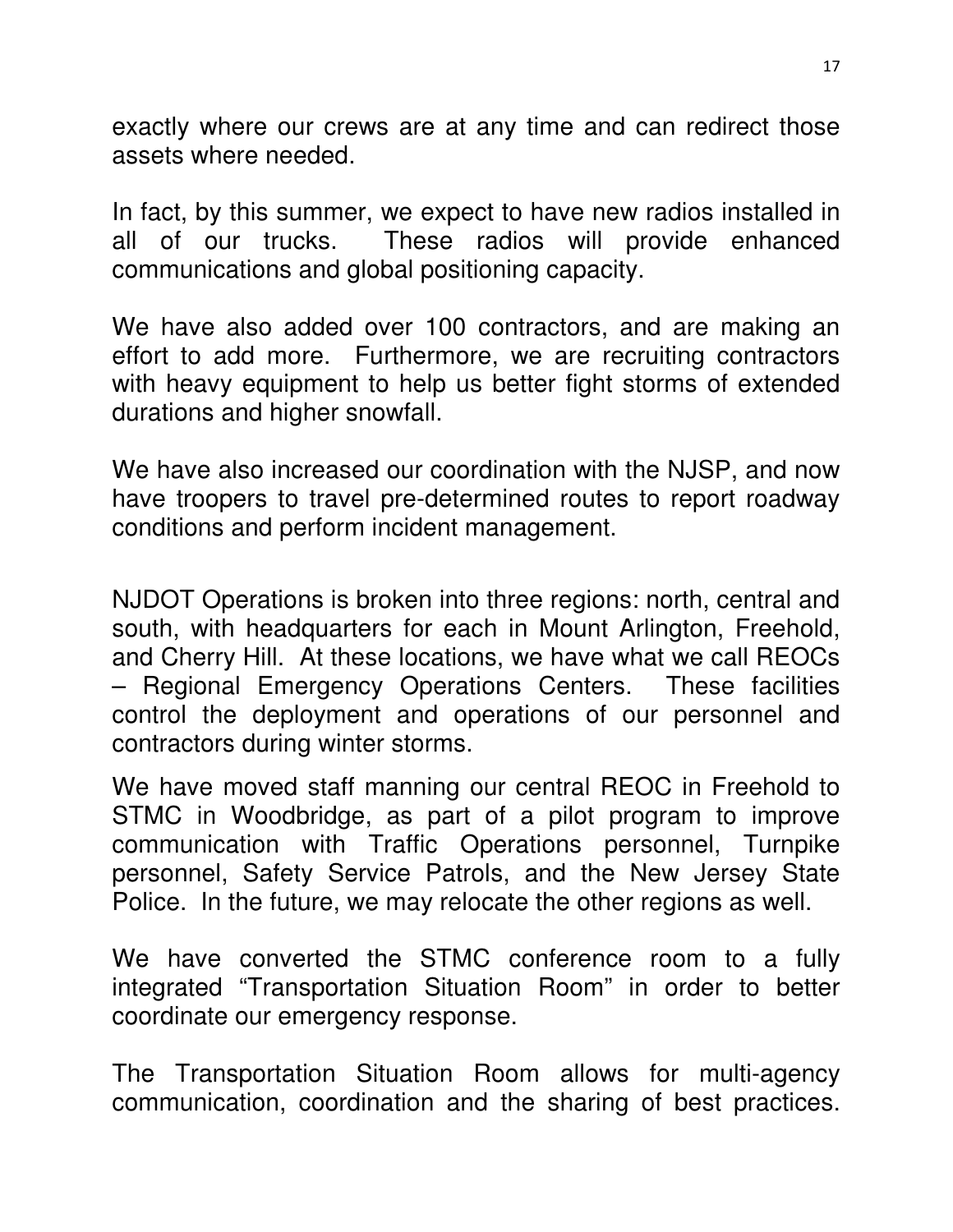exactly where our crews are at any time and can redirect those assets where needed.

In fact, by this summer, we expect to have new radios installed in all of our trucks. These radios will provide enhanced communications and global positioning capacity.

We have also added over 100 contractors, and are making an effort to add more. Furthermore, we are recruiting contractors with heavy equipment to help us better fight storms of extended durations and higher snowfall.

We have also increased our coordination with the NJSP, and now have troopers to travel pre-determined routes to report roadway conditions and perform incident management.

NJDOT Operations is broken into three regions: north, central and south, with headquarters for each in Mount Arlington, Freehold, and Cherry Hill. At these locations, we have what we call REOCs – Regional Emergency Operations Centers. These facilities control the deployment and operations of our personnel and contractors during winter storms.

We have moved staff manning our central REOC in Freehold to STMC in Woodbridge, as part of a pilot program to improve communication with Traffic Operations personnel, Turnpike personnel, Safety Service Patrols, and the New Jersey State Police. In the future, we may relocate the other regions as well.

We have converted the STMC conference room to a fully integrated "Transportation Situation Room" in order to better coordinate our emergency response.

The Transportation Situation Room allows for multi-agency communication, coordination and the sharing of best practices.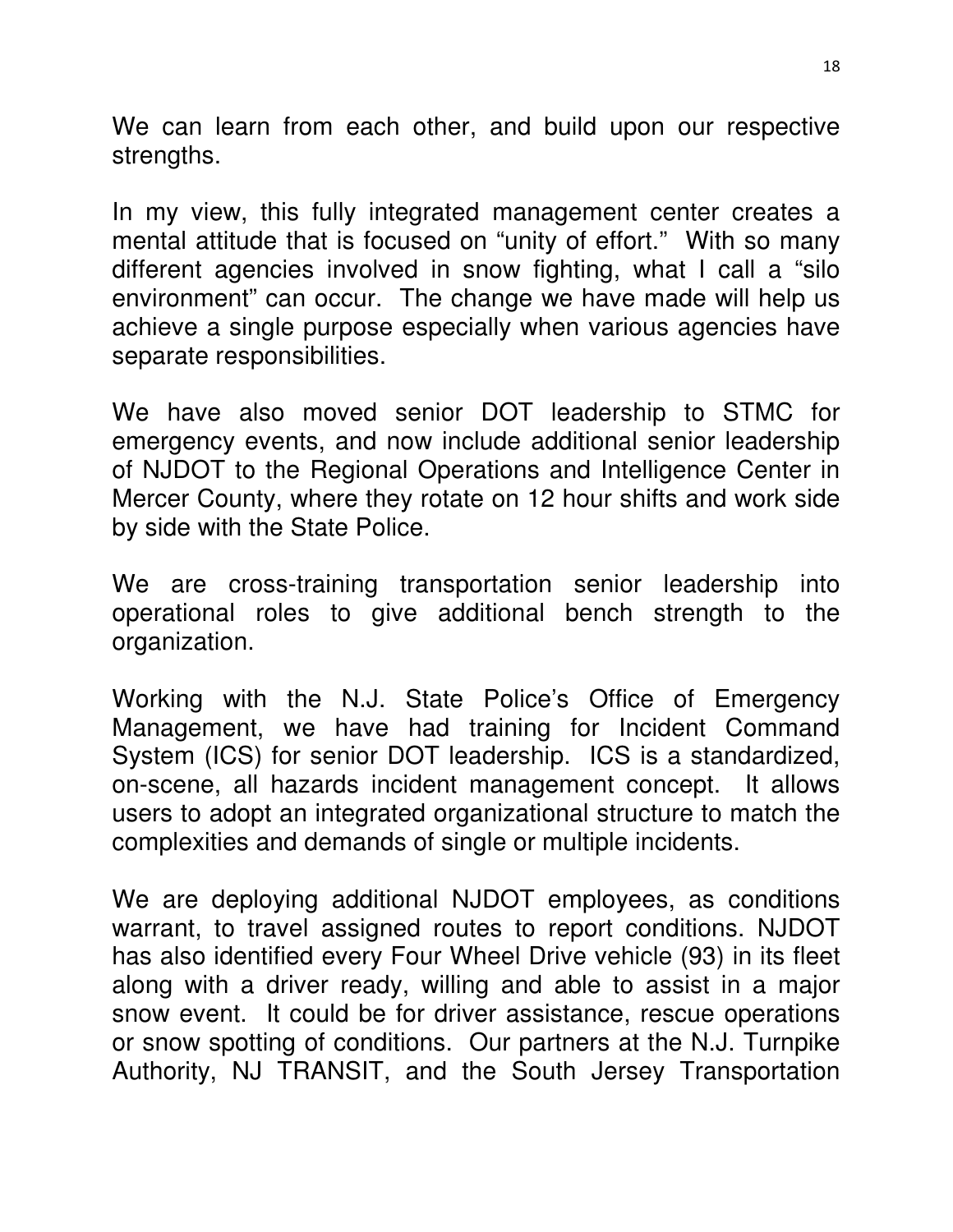We can learn from each other, and build upon our respective strengths.

In my view, this fully integrated management center creates a mental attitude that is focused on "unity of effort." With so many different agencies involved in snow fighting, what I call a "silo environment" can occur. The change we have made will help us achieve a single purpose especially when various agencies have separate responsibilities.

We have also moved senior DOT leadership to STMC for emergency events, and now include additional senior leadership of NJDOT to the Regional Operations and Intelligence Center in Mercer County, where they rotate on 12 hour shifts and work side by side with the State Police.

We are cross-training transportation senior leadership into operational roles to give additional bench strength to the organization.

Working with the N.J. State Police's Office of Emergency Management, we have had training for Incident Command System (ICS) for senior DOT leadership. ICS is a standardized, on-scene, all hazards incident management concept. It allows users to adopt an integrated organizational structure to match the complexities and demands of single or multiple incidents.

We are deploying additional NJDOT employees, as conditions warrant, to travel assigned routes to report conditions. NJDOT has also identified every Four Wheel Drive vehicle (93) in its fleet along with a driver ready, willing and able to assist in a major snow event. It could be for driver assistance, rescue operations or snow spotting of conditions. Our partners at the N.J. Turnpike Authority, NJ TRANSIT, and the South Jersey Transportation